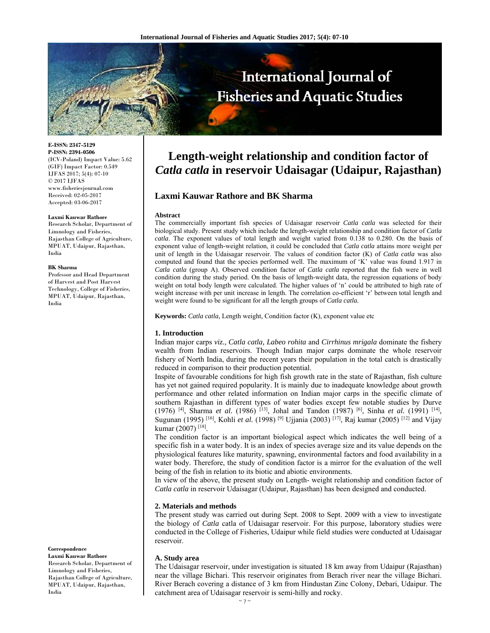

**E-ISSN: 2347-5129 P-ISSN: 2394-0506**  (ICV-Poland) Impact Value: 5.62 (GIF) Impact Factor: 0.549 IJFAS 2017; 5(4): 07-10  $\odot$  2017 IJFAS www.fisheriesjournal.com Received: 02-05-2017 Accepted: 03-06-2017

#### **Laxmi Kauwar Rathore**

Research Scholar, Department of Limnology and Fisheries, Rajasthan College of Agriculture, MPUAT, Udaipur, Rajasthan, India

#### **BK Sharma**

Professor and Head Department of Harvest and Post Harvest Technology, College of Fisheries, MPUAT, Udaipur, Rajasthan, India

**Correspondence** 

**Laxmi Kauwar Rathore**  Research Scholar, Department of Limnology and Fisheries, Rajasthan College of Agriculture, MPUAT, Udaipur, Rajasthan, India

# **Length-weight relationship and condition factor of** *Catla catla* **in reservoir Udaisagar (Udaipur, Rajasthan)**

## **Laxmi Kauwar Rathore and BK Sharma**

#### **Abstract**

The commercially important fish species of Udaisagar reservoir *Catla catla* was selected for their biological study. Present study which include the length-weight relationship and condition factor of *Catla catla*. The exponent values of total length and weight varied from 0.138 to 0.280. On the basis of exponent value of length-weight relation, it could be concluded that *Catla catla* attains more weight per unit of length in the Udaisagar reservoir. The values of condition factor (K) of *Catla catla* was also computed and found that the species performed well. The maximum of 'K' value was found 1.917 in *Catla catla* (group A). Observed condition factor of *Catla catla* reported that the fish were in well condition during the study period. On the basis of length-weight data, the regression equations of body weight on total body length were calculated. The higher values of 'n' could be attributed to high rate of weight increase with per unit increase in length. The correlation co-efficient 'r' between total length and weight were found to be significant for all the length groups of *Catla catla.*

**Keywords:** *Catla catla,* Length weight, Condition factor (K), exponent value etc

#### **1. Introduction**

Indian major carps *viz., Catla catla, Labeo rohita* and *Cirrhinus mrigala* dominate the fishery wealth from Indian reservoirs. Though Indian major carps dominate the whole reservoir fishery of North India, during the recent years their population in the total catch is drastically reduced in comparison to their production potential.

Inspite of favourable conditions for high fish growth rate in the state of Rajasthan, fish culture has yet not gained required popularity. It is mainly due to inadequate knowledge about growth performance and other related information on Indian major carps in the specific climate of southern Rajasthan in different types of water bodies except few notable studies by Durve (1976) <sup>[4]</sup>, Sharma *et al.* (1986) <sup>[13]</sup>, Johal and Tandon (1987) <sup>[6]</sup>, Sinha *et al.* (1991) <sup>[14]</sup>, Sugunan (1995) [16], Kohli *et al.* (1998) [9] Ujjania (2003) [17], Raj kumar (2005) [12] and Vijay kumar (2007)<sup>[18]</sup>.

The condition factor is an important biological aspect which indicates the well being of a specific fish in a water body. It is an index of species average size and its value depends on the physiological features like maturity, spawning, environmental factors and food availability in a water body. Therefore, the study of condition factor is a mirror for the evaluation of the well being of the fish in relation to its biotic and abiotic environments.

In view of the above, the present study on Length- weight relationship and condition factor of *Catla catla* in reservoir Udaisagar (Udaipur, Rajasthan) has been designed and conducted.

## **2. Materials and methods**

The present study was carried out during Sept. 2008 to Sept. 2009 with a view to investigate the biology of *Catla* catla of Udaisagar reservoir. For this purpose, laboratory studies were conducted in the College of Fisheries, Udaipur while field studies were conducted at Udaisagar reservoir.

#### **A. Study area**

The Udaisagar reservoir, under investigation is situated 18 km away from Udaipur (Rajasthan) near the village Bichari. This reservoir originates from Berach river near the village Bichari. River Berach covering a distance of 3 km from Hindustan Zinc Colony, Debari, Udaipur. The catchment area of Udaisagar reservoir is semi-hilly and rocky.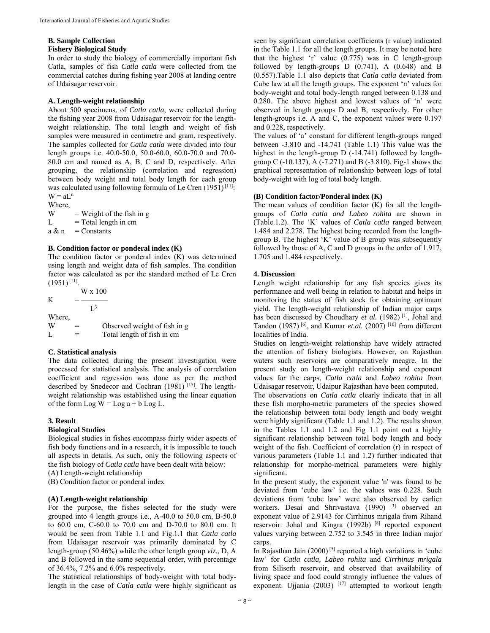# **B. Sample Collection**

## **Fishery Biological Study**

In order to study the biology of commercially important fish Catla, samples of fish *Catla catla* were collected from the commercial catches during fishing year 2008 at landing centre of Udaisagar reservoir.

## **A. Length-weight relationship**

About 500 specimens, of *Catla catla*, were collected during the fishing year 2008 from Udaisagar reservoir for the lengthweight relationship. The total length and weight of fish samples were measured in centimetre and gram, respectively. The samples collected for *Catla catla* were divided into four length groups i.e. 40.0-50.0, 50.0-60.0, 60.0-70.0 and 70.0- 80.0 cm and named as A, B, C and D, respectively. After grouping, the relationship (correlation and regression) between body weight and total body length for each group was calculated using following formula of Le Cren  $(1951)^{[11]}$ :  $W = aL^n$ 

Where,  $W = Weight of the fish in g$  $L = \text{Total length in cm}$  $a \& n =$ Constants

## **B. Condition factor or ponderal index (K)**

The condition factor or ponderal index (K) was determined using length and weight data of fish samples. The condition factor was calculated as per the standard method of Le Cren  $(1951)$ <sup>[11]</sup>.

 W x 100 K  $=$   $L^3$ Where,  $W =$  Observed weight of fish in g<br>  $L =$  Total length of fish in cm  $=$  Total length of fish in cm

## **C. Statistical analysis**

The data collected during the present investigation were processed for statistical analysis. The analysis of correlation coefficient and regression was done as per the method described by Snedecor and Cochran (1981)<sup>[15]</sup>. The lengthweight relationship was established using the linear equation of the form Log  $W = Log a + b Log L$ .

#### **3. Result**

## **Biological Studies**

Biological studies in fishes encompass fairly wider aspects of fish body functions and in a research, it is impossible to touch all aspects in details. As such, only the following aspects of the fish biology of *Catla catla* have been dealt with below:

(A) Length-weight relationship

(B) Condition factor or ponderal index

#### **(A) Length-weight relationship**

For the purpose, the fishes selected for the study were grouped into 4 length groups i.e., A-40.0 to 50.0 cm, B-50.0 to 60.0 cm, C-60.0 to 70.0 cm and D-70.0 to 80.0 cm. It would be seen from Table 1.1 and Fig.1.1 that *Catla catla* from Udaisagar reservoir was primarily dominated by C length-group (50.46%) while the other length group *viz*., D, A and B followed in the same sequential order, with percentage of 36.4%, 7.2% and 6.0% respectively.

The statistical relationships of body-weight with total bodylength in the case of *Catla catla* were highly significant as seen by significant correlation coefficients (r value) indicated in the Table 1.1 for all the length groups. It may be noted here that the highest 'r' value  $(0.775)$  was in C length-group followed by length-groups D (0.741), A (0.648) and B (0.557).Table 1.1 also depicts that *Catla catla* deviated from Cube law at all the length groups. The exponent 'n' values for body-weight and total body-length ranged between 0.138 and 0.280. The above highest and lowest values of 'n' were observed in length groups D and B, respectively. For other length-groups i.e. A and C, the exponent values were 0.197 and 0.228, respectively.

The values of 'a' constant for different length-groups ranged between -3.810 and -14.741 (Table 1.1) This value was the highest in the length-group D (-14.741) followed by lengthgroup C (-10.137), A (-7.271) and B (-3.810). Fig-1 shows the graphical representation of relationship between logs of total body-weight with log of total body length.

## **(B) Condition factor/Ponderal index (K)**

The mean values of condition factor (K) for all the lengthgroups of *Catla catla and Labeo rohita* are shown in (Table.1.2). The 'K' values of *Catla catla* ranged between 1.484 and 2.278. The highest being recorded from the lengthgroup B. The highest 'K' value of B group was subsequently followed by those of A, C and D groups in the order of 1.917, 1.705 and 1.484 respectively.

## **4. Discussion**

Length weight relationship for any fish species gives its performance and well being in relation to habitat and helps in monitoring the status of fish stock for obtaining optimum yield. The length-weight relationship of Indian major carps has been discussed by Choudhary *et al.* (1982)<sup>[1]</sup>, Johal and Tandon (1987) [6], and Kumar *et.al.* (2007) [10] from different localities of India.

Studies on length-weight relationship have widely attracted the attention of fishery biologists. However, on Rajasthan waters such reservoirs are comparatively meagre. In the present study on length-weight relationship and exponent values for the carps, *Catla catla* and *Labeo rohita* from Udaisagar reservoir, Udaipur Rajasthan have been computed.

The observations on *Catla catla* clearly indicate that in all these fish morpho-metric parameters of the species showed the relationship between total body length and body weight were highly significant (Table 1.1 and 1.2). The results shown in the Tables 1.1 and 1.2 and Fig 1.1 point out a highly significant relationship between total body length and body weight of the fish. Coefficient of correlation (r) in respect of various parameters (Table 1.1 and 1.2) further indicated that relationship for morpho-metrical parameters were highly significant.

In the present study, the exponent value 'n' was found to be deviated from 'cube law' i.e. the values was 0.228. Such deviations from 'cube law' were also observed by earlier workers. Desai and Shrivastava (1990) <sup>[3]</sup> observed an exponent value of 2.9143 for Cirrhinus mrigala from Rihand reservoir. Johal and Kingra (1992b) [8] reported exponent values varying between 2.752 to 3.545 in three Indian major carps.

In Rajasthan Jain (2000) [5] reported a high variations in 'cube law' for *Catla catla, Labeo rohita* and *Cirrhinus mrigala* from Siliserh reservoir, and observed that availability of living space and food could strongly influence the values of exponent. Ujjania (2003)  $[17]$  attempted to workout length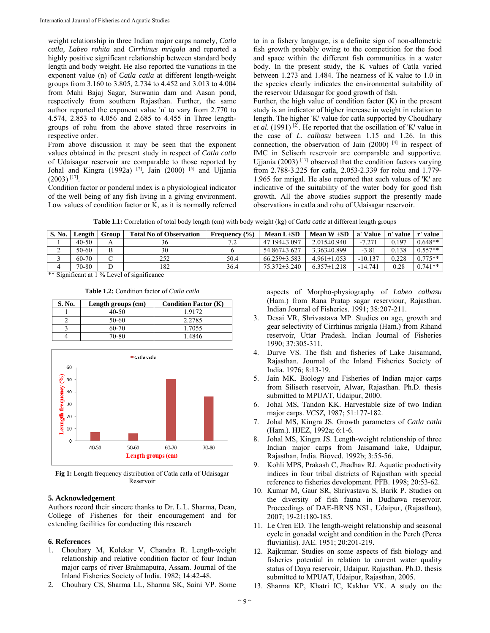weight relationship in three Indian major carps namely, *Catla catla, Labeo rohita* and *Cirrhinus mrigala* and reported a highly positive significant relationship between standard body length and body weight. He also reported the variations in the exponent value (n) of *Catla catla* at different length-weight groups from 3.160 to 3.805, 2.734 to 4.452 and 3.013 to 4.004 from Mahi Bajaj Sagar, Surwania dam and Aasan pond, respectively from southern Rajasthan. Further, the same author reported the exponent value 'n' to vary from 2.770 to 4.574, 2.853 to 4.056 and 2.685 to 4.455 in Three lengthgroups of rohu from the above stated three reservoirs in respective order.

From above discussion it may be seen that the exponent values obtained in the present study in respect of *Catla catla* of Udaisagar reservoir are comparable to those reported by Johal and Kingra (1992a) <sup>[7]</sup>, Jain (2000) <sup>[5]</sup> and Ujjania  $(2003)$ <sup>[17]</sup>.

Condition factor or ponderal index is a physiological indicator of the well being of any fish living in a giving environment. Low values of condition factor or K, as it is normally referred to in a fishery language, is a definite sign of non-allometric fish growth probably owing to the competition for the food and space within the different fish communities in a water body. In the present study, the K values of Catla varied between 1.273 and 1.484. The nearness of K value to 1.0 in the species clearly indicates the environmental suitability of the reservoir Udaisagar for good growth of fish.

Further, the high value of condition factor  $(K)$  in the present study is an indicator of higher increase in weight in relation to length. The higher 'K' value for catla supported by Choudhary *et al*. (1991) [2]. He reported that the oscillation of 'K' value in the case of *L*. *calbasu* between 1.15 and 1.26. In this connection, the observation of Jain  $(2000)$  [4] in respect of IMC in Seliserh reservoir are comparable and supportive. Ujjania (2003) [17] observed that the condition factors varying from 2.788-3.225 for catla, 2.053-2.339 for rohu and 1.779- 1.965 for mrigal. He also reported that such values of 'K' are indicative of the suitability of the water body for good fish growth. All the above studies support the presently made observations in catla and rohu of Udaisagar reservoir.

| Table 1.1: Correlation of total body length (cm) with body weight (kg) of <i>Catla catla</i> at different length groups |  |
|-------------------------------------------------------------------------------------------------------------------------|--|
|-------------------------------------------------------------------------------------------------------------------------|--|

| <b>S. No.</b> | Length    | Group | <b>Total No of Observation</b> | (%)<br><b>Frequency</b> | Mean $L\pm SD$     | Mean $W \pm SD$   | a' Value  | value<br>n' | r' value  |
|---------------|-----------|-------|--------------------------------|-------------------------|--------------------|-------------------|-----------|-------------|-----------|
|               | $40 - 50$ |       | 36                             |                         | $47.194\pm3.097$   | $2.015 \pm 0.940$ | $-7.271$  | 0.197       | $0.648**$ |
| ∼             | 50-60     |       | 30                             |                         | $54.867 \pm 3.627$ | $3.363 \pm 0.899$ | $-3.81$   | 0.138       | $0.557**$ |
|               | 60-70     |       | 252                            | 50.4                    | $66.259 \pm 3.583$ | $4.961\pm1.053$   | $-10.137$ | 0.228       | $0.775**$ |
|               | 70-80     |       | 182                            | 36.4                    | 75.372±3.240       | $6.357 \pm 1.218$ | $-14.741$ | 0.28        | $0.741**$ |

\*\* Significant at 1 % Level of significance

| <b>Table 1.2:</b> Condition factor of <i>Catla catla</i> |  |
|----------------------------------------------------------|--|
|----------------------------------------------------------|--|

| S. No. | Length groups (cm) | <b>Condition Factor (K)</b> |
|--------|--------------------|-----------------------------|
|        | $40 - 50$          | 1.9172                      |
|        | $50-60$            | 2.2785                      |
|        | 60-70              | 1.7055                      |
|        | 70-80              | 1.4846                      |



**Fig 1:** Length frequency distribution of Catla catla of Udaisagar Reservoir

## **5. Acknowledgement**

Authors record their sincere thanks to Dr. L.L. Sharma, Dean, College of Fisheries for their encouragement and for extending facilities for conducting this research

## **6. References**

- 1. Chouhary M, Kolekar V, Chandra R. Length-weight relationship and relative condition factor of four Indian major carps of river Brahmaputra, Assam. Journal of the Inland Fisheries Society of India. 1982; 14:42-48.
- 2. Chouhary CS, Sharma LL, Sharma SK, Saini VP. Some

aspects of Morpho-physiography of *Labeo calbasu* (Ham.) from Rana Pratap sagar reserviour, Rajasthan. Indian Journal of Fisheries. 1991; 38:207-211.

- 3. Desai VR, Shrivastava MP. Studies on age, growth and gear selectivity of Cirrhinus mrigala (Ham.) from Rihand reservoir, Uttar Pradesh. Indian Journal of Fisheries 1990; 37:305-311.
- Durve VS. The fish and fisheries of Lake Jaisamand, Rajasthan. Journal of the Inland Fisheries Society of India. 1976; 8:13-19.
- 5. Jain MK. Biology and Fisheries of Indian major carps from Siliserh reservoir, Alwar, Rajasthan. Ph.D. thesis submitted to MPUAT, Udaipur, 2000.
- 6. Johal MS, Tandon KK. Harvestable size of two Indian major carps. *VCSZ,* 1987; 51:177-182.
- 7. Johal MS, Kingra JS. Growth parameters of *Catla catla* (Ham.). HJEZ, 1992a; 6:1-6.
- 8. Johal MS, Kingra JS. Length-weight relationship of three Indian major carps from Jaisamand lake, Udaipur, Rajasthan, India. Bioved. 1992b; 3:55-56.
- 9. Kohli MPS, Prakash C, Jhadhav RJ. Aquatic productivity indices in four tribal districts of Rajasthan with special reference to fisheries development. PFB. 1998; 20:53-62.
- 10. Kumar M, Gaur SR, Shrivastava S, Barik P. Studies on the diversity of fish fauna in Dudhawa reservoir. Proceedings of DAE-BRNS NSL, Udaipur, (Rajasthan), 2007; 19-21:180-185.
- 11. Le Cren ED. The length-weight relationship and seasonal cycle in gonadal weight and condition in the Perch (Perca fluviatilis). JAE. 1951; 20:201-219.
- 12. Rajkumar. Studies on some aspects of fish biology and fisheries potential in relation to current water quality status of Daya reservoir, Udaipur, Rajasthan. Ph.D. thesis submitted to MPUAT, Udaipur, Rajasthan, 2005.
- 13. Sharma KP, Khatri IC, Kakhar VK. A study on the